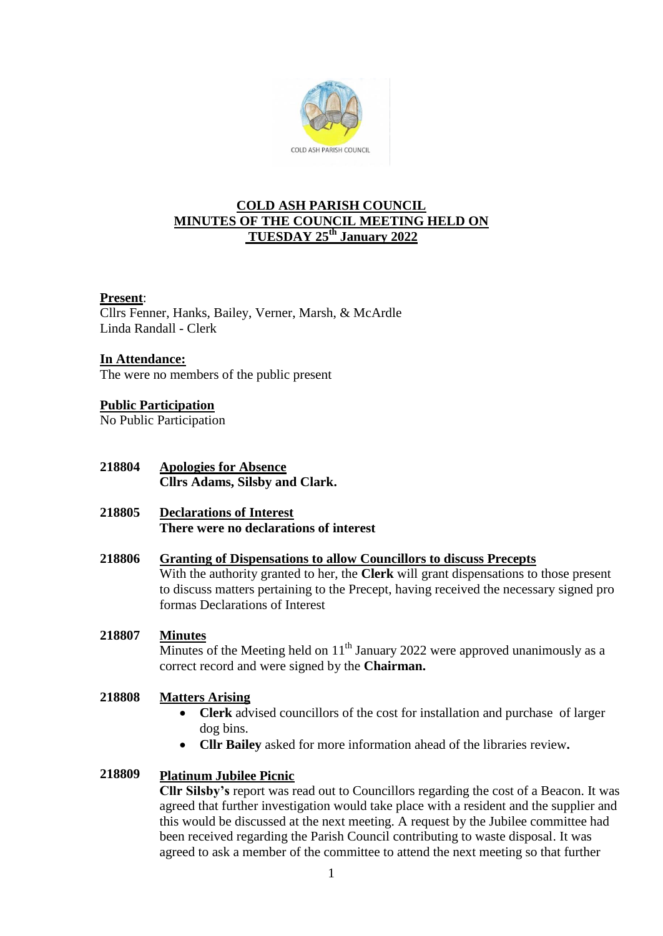

# **COLD ASH PARISH COUNCIL MINUTES OF THE COUNCIL MEETING HELD ON TUESDAY 25th January 2022**

## **Present**:

Cllrs Fenner, Hanks, Bailey, Verner, Marsh, & McArdle Linda Randall - Clerk

### **In Attendance:**

The were no members of the public present

# **Public Participation**

No Public Participation

**218804 Apologies for Absence Cllrs Adams, Silsby and Clark.**

### **218805 Declarations of Interest There were no declarations of interest**

### **218806 Granting of Dispensations to allow Councillors to discuss Precepts**

With the authority granted to her, the **Clerk** will grant dispensations to those present to discuss matters pertaining to the Precept, having received the necessary signed pro formas Declarations of Interest

### **218807 Minutes**

Minutes of the Meeting held on  $11<sup>th</sup>$  January 2022 were approved unanimously as a correct record and were signed by the **Chairman.**

### **218808 Matters Arising**

- **Clerk** advised councillors of the cost for installation and purchase of larger dog bins.
- **Cllr Bailey** asked for more information ahead of the libraries review**.**

### **218809 Platinum Jubilee Picnic**

**Cllr Silsby's** report was read out to Councillors regarding the cost of a Beacon. It was agreed that further investigation would take place with a resident and the supplier and this would be discussed at the next meeting. A request by the Jubilee committee had been received regarding the Parish Council contributing to waste disposal. It was agreed to ask a member of the committee to attend the next meeting so that further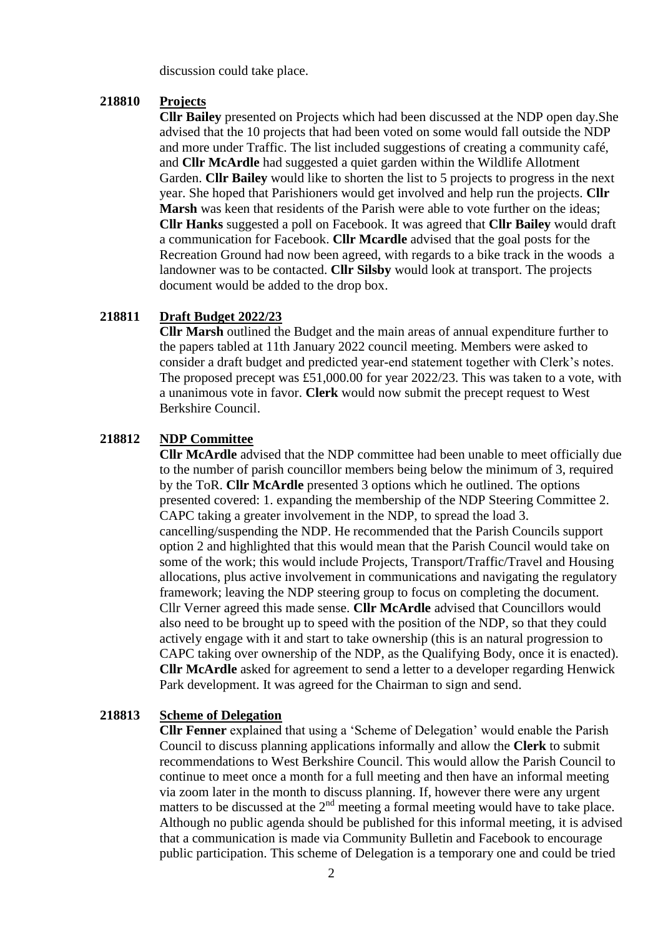discussion could take place.

#### **218810 Projects**

**Cllr Bailey** presented on Projects which had been discussed at the NDP open day.She advised that the 10 projects that had been voted on some would fall outside the NDP and more under Traffic. The list included suggestions of creating a community café, and **Cllr McArdle** had suggested a quiet garden within the Wildlife Allotment Garden. **Cllr Bailey** would like to shorten the list to 5 projects to progress in the next year. She hoped that Parishioners would get involved and help run the projects. **Cllr Marsh** was keen that residents of the Parish were able to vote further on the ideas; **Cllr Hanks** suggested a poll on Facebook. It was agreed that **Cllr Bailey** would draft a communication for Facebook. **Cllr Mcardle** advised that the goal posts for the Recreation Ground had now been agreed, with regards to a bike track in the woods a landowner was to be contacted. **Cllr Silsby** would look at transport. The projects document would be added to the drop box.

#### **218811 Draft Budget 2022/23**

**Cllr Marsh** outlined the Budget and the main areas of annual expenditure further to the papers tabled at 11th January 2022 council meeting. Members were asked to consider a draft budget and predicted year-end statement together with Clerk's notes. The proposed precept was £51,000.00 for year  $2022/23$ . This was taken to a vote, with a unanimous vote in favor. **Clerk** would now submit the precept request to West Berkshire Council.

### **218812 NDP Committee**

**Cllr McArdle** advised that the NDP committee had been unable to meet officially due to the number of parish councillor members being below the minimum of 3, required by the ToR. **Cllr McArdle** presented 3 options which he outlined. The options presented covered: 1. expanding the membership of the NDP Steering Committee 2. CAPC taking a greater involvement in the NDP, to spread the load 3. cancelling/suspending the NDP. He recommended that the Parish Councils support option 2 and highlighted that this would mean that the Parish Council would take on some of the work; this would include Projects, Transport/Traffic/Travel and Housing allocations, plus active involvement in communications and navigating the regulatory framework; leaving the NDP steering group to focus on completing the document. Cllr Verner agreed this made sense. **Cllr McArdle** advised that Councillors would also need to be brought up to speed with the position of the NDP, so that they could actively engage with it and start to take ownership (this is an natural progression to CAPC taking over ownership of the NDP, as the Qualifying Body, once it is enacted). **Cllr McArdle** asked for agreement to send a letter to a developer regarding Henwick Park development. It was agreed for the Chairman to sign and send.

### **218813 Scheme of Delegation**

**Cllr Fenner** explained that using a 'Scheme of Delegation' would enable the Parish Council to discuss planning applications informally and allow the **Clerk** to submit recommendations to West Berkshire Council. This would allow the Parish Council to continue to meet once a month for a full meeting and then have an informal meeting via zoom later in the month to discuss planning. If, however there were any urgent matters to be discussed at the  $2<sup>nd</sup>$  meeting a formal meeting would have to take place. Although no public agenda should be published for this informal meeting, it is advised that a communication is made via Community Bulletin and Facebook to encourage public participation. This scheme of Delegation is a temporary one and could be tried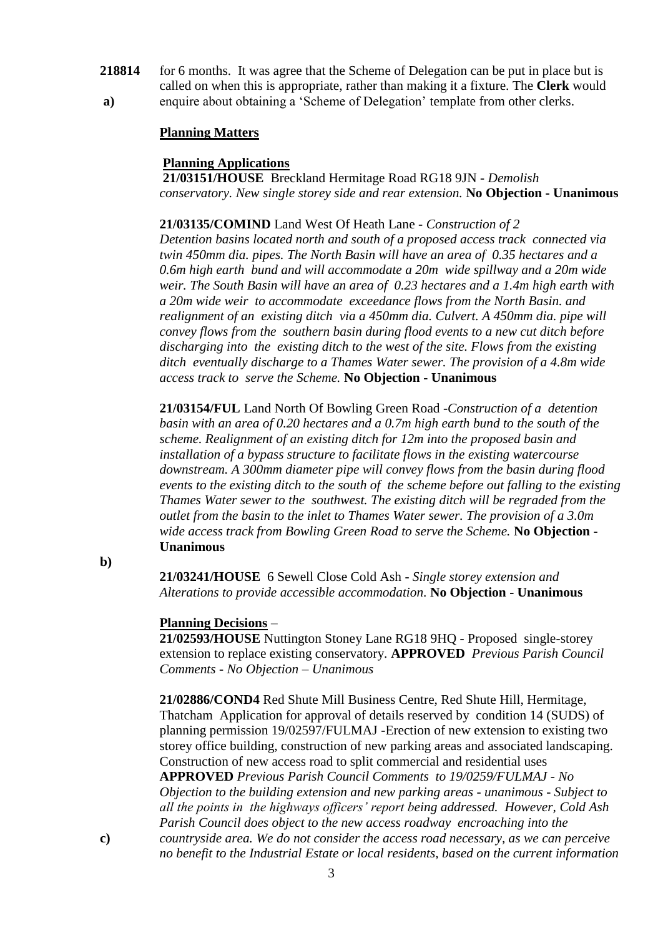- **218814 a)** for 6 months. It was agree that the Scheme of Delegation can be put in place but is called on when this is appropriate, rather than making it a fixture. The **Clerk** would
	- enquire about obtaining a 'Scheme of Delegation' template from other clerks.

# **Planning Matters**

# **Planning Applications**

**21/03151/HOUSE** Breckland Hermitage Road RG18 9JN - *Demolish conservatory. New single storey side and rear extension.* **No Objection - Unanimous**

**21/03135/COMIND** Land West Of Heath Lane - *Construction of 2* 

*Detention basins located north and south of a proposed access track connected via twin 450mm dia. pipes. The North Basin will have an area of 0.35 hectares and a 0.6m high earth bund and will accommodate a 20m wide spillway and a 20m wide weir. The South Basin will have an area of 0.23 hectares and a 1.4m high earth with a 20m wide weir to accommodate exceedance flows from the North Basin. and realignment of an existing ditch via a 450mm dia. Culvert. A 450mm dia. pipe will convey flows from the southern basin during flood events to a new cut ditch before discharging into the existing ditch to the west of the site. Flows from the existing ditch eventually discharge to a Thames Water sewer. The provision of a 4.8m wide access track to serve the Scheme.* **No Objection - Unanimous**

**21/03154/FUL** Land North Of Bowling Green Road *-Construction of a detention basin with an area of 0.20 hectares and a 0.7m high earth bund to the south of the scheme. Realignment of an existing ditch for 12m into the proposed basin and installation of a bypass structure to facilitate flows in the existing watercourse downstream. A 300mm diameter pipe will convey flows from the basin during flood events to the existing ditch to the south of the scheme before out falling to the existing Thames Water sewer to the southwest. The existing ditch will be regraded from the outlet from the basin to the inlet to Thames Water sewer. The provision of a 3.0m wide access track from Bowling Green Road to serve the Scheme.* **No Objection - Unanimous**

**b)**

**21/03241/HOUSE** 6 Sewell Close Cold Ash *- Single storey extension and Alterations to provide accessible accommodation.* **No Objection - Unanimous**

# **Planning Decisions** –

**21/02593/HOUSE** Nuttington Stoney Lane RG18 9HQ - Proposed single-storey extension to replace existing conservatory. **APPROVED** *Previous Parish Council Comments - No Objection – Unanimous*

**21/02886/COND4** Red Shute Mill Business Centre, Red Shute Hill, Hermitage, Thatcham Application for approval of details reserved by condition 14 (SUDS) of planning permission 19/02597/FULMAJ -Erection of new extension to existing two storey office building, construction of new parking areas and associated landscaping. Construction of new access road to split commercial and residential uses **APPROVED** *Previous Parish Council Comments to 19/0259/FULMAJ - No Objection to the building extension and new parking areas - unanimous - Subject to all the points in the highways officers' report being addressed. However, Cold Ash Parish Council does object to the new access roadway encroaching into the countryside area. We do not consider the access road necessary, as we can perceive no benefit to the Industrial Estate or local residents, based on the current information* 

**c)**